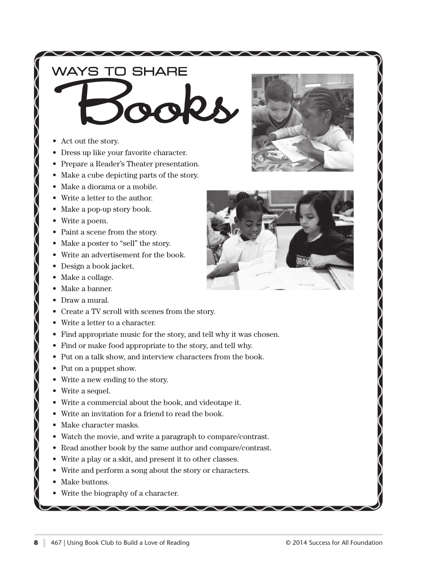## WAYS TO SHARE

- **BOOKS**
- Act out the story. Act out the story.
- Dress up like your favorite character. Dress up like your favorite character.
- Prepare a Reader's Theater presentation.
- Make a cube depicting parts of the story. Make a cube depicting parts of the story.
- Make a diorama or a mobile. Make a diorama or a mobile.
- Write a letter to the author. Write a letter to the author.
- Make a pop-up story book. Make a pop-up story book.
- Write a poem. Write a poem.
- Paint a scene from the story. Paint a scene from the story.
- Make a poster to "sell" the story. Make a poster to "sell" the story.
- Write an advertisement for the book. Write an advertisement for the book.
- Design a book jacket. Design a book jacket.
- Make a collage. Make a collage.
- Make a banner. Make a banner.
- Draw a mural. Draw a mural.
- Create a TV scroll with scenes from the story. Create a TV scroll with scenes from the story.
- Write a letter to a character. Write a letter to a character.
- Find appropriate music for the story, and tell why it was chosen. Find appropriate music for the story, and tell why it was chosen.
- Find or make food appropriate to the story, and tell why. Find or make food appropriate to the story, and tell why.
- Put on a talk show, and interview characters from the book. Put on a talk show, and interview characters from the book.
- Put on a puppet show. Put on a puppet show.
- Write a new ending to the story. Write a new ending to the story.
- Write a sequel. Write a sequel.
- Write a commercial about the book, and videotape it. Write a commercial about the book, and videotape it.
- Write an invitation for a friend to read the book. Write an invitation for a friend to read the book.
- Make character masks. Make character masks.
- Watch the movie, and write a paragraph to compare/contrast. Watch the movie, and write a paragraph to compare/contrast.
- Read another book by the same author and compare/contrast. Read another book by the same author and compare/contrast.

 $\sim$   $\sim$   $\sim$ 

- Write a play or a skit, and present it to other classes. Write a play or a skit, and present it to other classes.
- Write and perform a song about the story or characters. Write and perform a song about the story or characters.
- Make buttons. Make buttons.
- Write the biography of a character. Write the biography of a character.



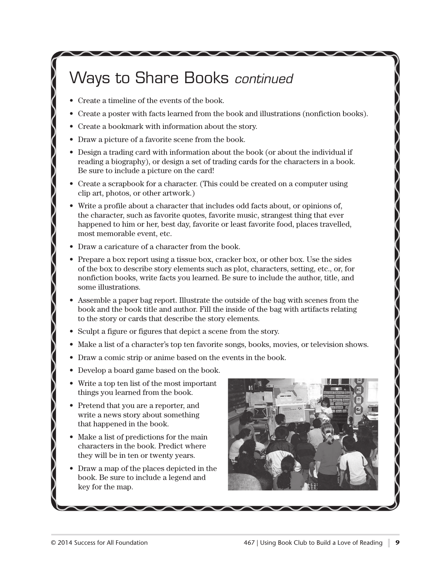# Ways to Share Books continued

- Create a timeline of the events of the book. Create a timeline of the events of the book.
- Create a poster with facts learned from the book and illustrations (nonfiction books).
- Create a bookmark with information about the story.
- Draw a picture of a favorite scene from the book.
- Design a trading card with information about the book (or about the individual if reading a biography), or design a set of trading cards for the characters in a book. Be sure to include a picture on the card!
- Create a scrapbook for a character. (This could be created on a computer using clip art, photos, or other artwork.)
- Write a profile about a character that includes odd facts about, or opinions of, the character, such as favorite quotes, favorite music, strangest thing that ever happened to him or her, best day, favorite or least favorite food, places travelled, most memorable event, etc.
- Draw a caricature of a character from the book.
- Prepare a box report using a tissue box, cracker box, or other box. Use the sides of the box to describe story elements such as plot, characters, setting, etc., or, for nonfiction books, write facts you learned. Be sure to include the author, title, and some illustrations.
- $\bullet$  Assemble a paper bag report. Illustrate the outside of the bag with scenes from the book and the book title and author. Fill the inside of the bag with artifacts relating to the story or cards that describe the story elements.
- Sculpt a figure or figures that depict a scene from the story. Sculpt a figure or figures that depict a scene from the story.
- Make a list of a character's top ten favorite songs, books, movies, or television shows. Make a list of a character's top ten favorite songs, books, movies, or television shows.
- Draw a comic strip or anime based on the events in the book. Draw a comic strip or anime based on the events in the book.

 $\sqrt{2}$ 

- Develop a board game based on the book. Develop a board game based on the book.
- Write a top ten list of the most important Write a top ten list of the most important things you learned from the book. things you learned from the book.
- $\bullet\,$  Pretend that you are a reporter, and write a news story about something happened in the book. that happened in the book.
- Make a list of predictions for the main Make a list of predictions for the main characters in the book. Predict where characters in the book. Predict where they will be in ten or twenty years. they will be in ten or twenty years.
- Draw a map of the places depicted in the Draw a map of the places depicted in the book. Be sure to include a legend and book. Be sure to include a legend and key for the map. key for the map.

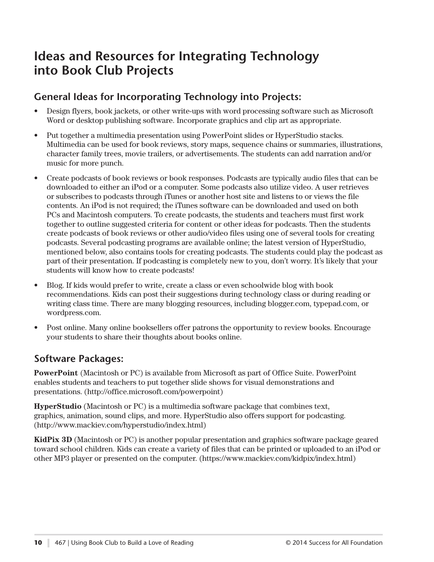### **Ideas and Resources for Integrating Technology into Book Club Projects**

### **General Ideas for Incorporating Technology into Projects:**

- Design flyers, book jackets, or other write-ups with word processing software such as Microsoft Word or desktop publishing software. Incorporate graphics and clip art as appropriate.
- Put together a multimedia presentation using PowerPoint slides or HyperStudio stacks. Multimedia can be used for book reviews, story maps, sequence chains or summaries, illustrations, character family trees, movie trailers, or advertisements. The students can add narration and/or music for more punch.
- Create podcasts of book reviews or book responses. Podcasts are typically audio files that can be downloaded to either an iPod or a computer. Some podcasts also utilize video. A user retrieves or subscribes to podcasts through iTunes or another host site and listens to or views the file contents. An iPod is not required; the iTunes software can be downloaded and used on both PCs and Macintosh computers. To create podcasts, the students and teachers must first work together to outline suggested criteria for content or other ideas for podcasts. Then the students create podcasts of book reviews or other audio/video files using one of several tools for creating podcasts. Several podcasting programs are available online; the latest version of HyperStudio, mentioned below, also contains tools for creating podcasts. The students could play the podcast as part of their presentation. If podcasting is completely new to you, don't worry. It's likely that your students will know how to create podcasts!
- Blog. If kids would prefer to write, create a class or even schoolwide blog with book recommendations. Kids can post their suggestions during technology class or during reading or writing class time. There are many blogging resources, including blogger.com, typepad.com, or wordpress.com.
- Post online. Many online booksellers offer patrons the opportunity to review books. Encourage your students to share their thoughts about books online.

#### **Software Packages:**

**PowerPoint** (Macintosh or PC) is available from Microsoft as part of Office Suite. PowerPoint enables students and teachers to put together slide shows for visual demonstrations and presentations. (http://office.microsoft.com/powerpoint)

**HyperStudio** (Macintosh or PC) is a multimedia software package that combines text, graphics, animation, sound clips, and more. HyperStudio also offers support for podcasting. (http://www.mackiev.com/hyperstudio/index.html)

**KidPix 3D** (Macintosh or PC) is another popular presentation and graphics software package geared toward school children. Kids can create a variety of files that can be printed or uploaded to an iPod or other MP3 player or presented on the computer. (https://www.mackiev.com/kidpix/index.html)